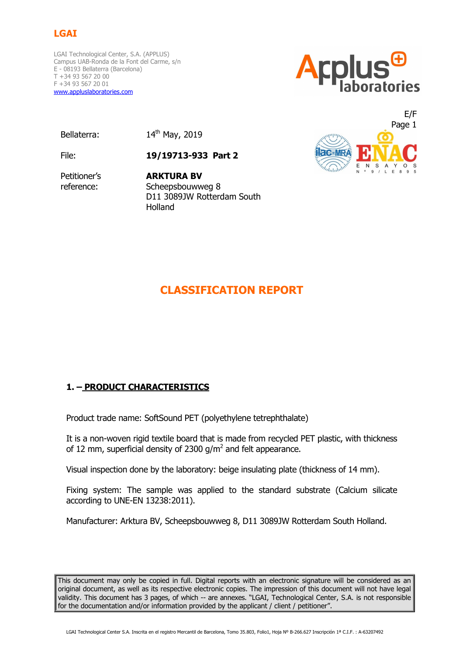# **LGAI**

LGAI Technological Center, S.A. (APPLUS) Campus UAB-Ronda de la Font del Carme, s/n E - 08193 Bellaterra (Barcelona) T +34 93 567 20 00 F +34 93 567 20 01 www.appluslaboratories.com



Bellaterra: 14<sup>th</sup> May, 2019

File: **19/19713-933 Part 2**

Petitioner's reference:

**ARKTURA BV** Scheepsbouwweg 8 D11 3089JW Rotterdam South Holland



# **CLASSIFICATION REPORT**

# **1. – PRODUCT CHARACTERISTICS**

Product trade name: SoftSound PET (polyethylene tetrephthalate)

It is a non-woven rigid textile board that is made from recycled PET plastic, with thickness of 12 mm, superficial density of 2300 g/m<sup>2</sup> and felt appearance.

Visual inspection done by the laboratory: beige insulating plate (thickness of 14 mm).

Fixing system: The sample was applied to the standard substrate (Calcium silicate according to UNE-EN 13238:2011).

Manufacturer: Arktura BV, Scheepsbouwweg 8, D11 3089JW Rotterdam South Holland.

This document may only be copied in full. Digital reports with an electronic signature will be considered as an original document, as well as its respective electronic copies. The impression of this document will not have legal validity. This document has 3 pages, of which -- are annexes. "LGAI, Technological Center, S.A. is not responsible for the documentation and/or information provided by the applicant / client / petitioner".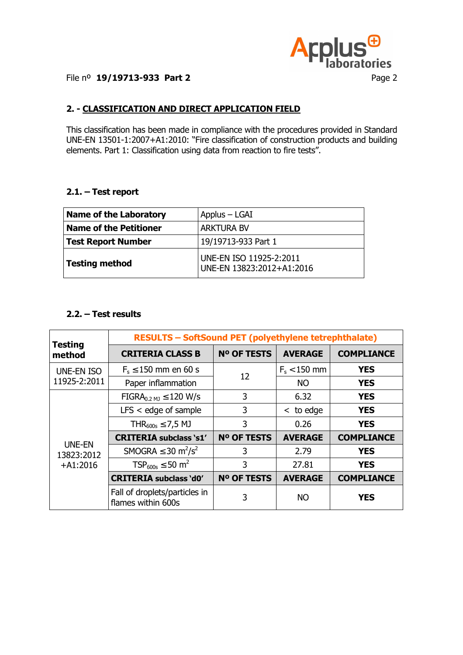

## File nº **19/19713-933 Part 2** Page 2

# **2. - CLASSIFICATION AND DIRECT APPLICATION FIELD**

This classification has been made in compliance with the procedures provided in Standard UNE-EN 13501-1:2007+A1:2010: "Fire classification of construction products and building elements. Part 1: Classification using data from reaction to fire tests".

#### **2.1. – Test report**

| <b>Name of the Laboratory</b> | Applus - LGAI                                        |  |  |  |
|-------------------------------|------------------------------------------------------|--|--|--|
| <b>Name of the Petitioner</b> | <b>ARKTURA BV</b>                                    |  |  |  |
| Test Report Number            | 19/19713-933 Part 1                                  |  |  |  |
| Testing method                | UNE-EN ISO 11925-2:2011<br>UNE-EN 13823:2012+A1:2016 |  |  |  |

## **2.2. – Test results**

|                                           | <b>RESULTS - SoftSound PET (polyethylene tetrephthalate)</b> |             |                |                   |  |  |  |  |
|-------------------------------------------|--------------------------------------------------------------|-------------|----------------|-------------------|--|--|--|--|
| <b>Testing</b><br>method                  | <b>CRITERIA CLASS B</b>                                      | Nº OF TESTS | <b>AVERAGE</b> | <b>COMPLIANCE</b> |  |  |  |  |
| <b>UNE-EN ISO</b><br>11925-2:2011         | $F_s \le 150$ mm en 60 s                                     | 12          | $F_s < 150$ mm | <b>YES</b>        |  |  |  |  |
|                                           | Paper inflammation                                           |             | <b>NO</b>      | <b>YES</b>        |  |  |  |  |
| <b>UNE-EN</b><br>13823:2012<br>$+A1:2016$ | $FIGRA_{0.2 \text{ MJ}} \leq 120 \text{ W/s}$                | 3           | 6.32           | <b>YES</b>        |  |  |  |  |
|                                           | $LFS <$ edge of sample                                       | 3           | $<$ to edge    | <b>YES</b>        |  |  |  |  |
|                                           | THR <sub>600s</sub> $\leq$ 7,5 MJ                            | 3           | 0.26           | <b>YES</b>        |  |  |  |  |
|                                           | <b>CRITERIA subclass 's1'</b>                                | Nº OF TESTS | <b>AVERAGE</b> | <b>COMPLIANCE</b> |  |  |  |  |
|                                           | SMOGRA $\leq$ 30 m <sup>2</sup> /s <sup>2</sup>              | 3           | 2.79           | <b>YES</b>        |  |  |  |  |
|                                           | $TSP_{600s} \le 50$ m <sup>2</sup>                           | 3           | 27.81          | <b>YES</b>        |  |  |  |  |
|                                           | <b>CRITERIA subclass 'd0'</b>                                | Nº OF TESTS | <b>AVERAGE</b> | <b>COMPLIANCE</b> |  |  |  |  |
|                                           | Fall of droplets/particles in<br>flames within 600s          | 3           | NO.            | <b>YES</b>        |  |  |  |  |